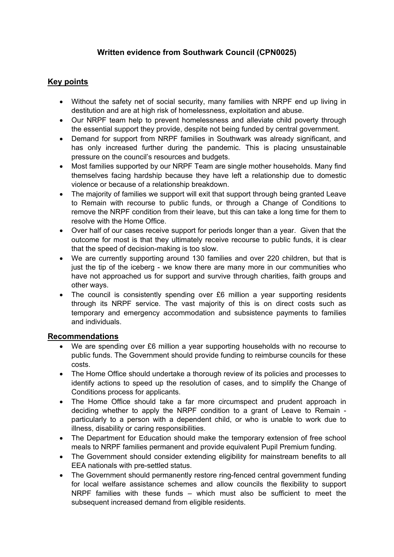# **Written evidence from Southwark Council (CPN0025)**

# **Key points**

- Without the safety net of social security, many families with NRPF end up living in destitution and are at high risk of homelessness, exploitation and abuse.
- Our NRPF team help to prevent homelessness and alleviate child poverty through the essential support they provide, despite not being funded by central government.
- Demand for support from NRPF families in Southwark was already significant, and has only increased further during the pandemic. This is placing unsustainable pressure on the council's resources and budgets.
- Most families supported by our NRPF Team are single mother households. Many find themselves facing hardship because they have left a relationship due to domestic violence or because of a relationship breakdown.
- The majority of families we support will exit that support through being granted Leave to Remain with recourse to public funds, or through a Change of Conditions to remove the NRPF condition from their leave, but this can take a long time for them to resolve with the Home Office.
- Over half of our cases receive support for periods longer than a year. Given that the outcome for most is that they ultimately receive recourse to public funds, it is clear that the speed of decision-making is too slow.
- We are currently supporting around 130 families and over 220 children, but that is just the tip of the iceberg - we know there are many more in our communities who have not approached us for support and survive through charities, faith groups and other ways.
- The council is consistently spending over £6 million a year supporting residents through its NRPF service. The vast majority of this is on direct costs such as temporary and emergency accommodation and subsistence payments to families and individuals.

## **Recommendations**

- We are spending over £6 million a year supporting households with no recourse to public funds. The Government should provide funding to reimburse councils for these costs.
- The Home Office should undertake a thorough review of its policies and processes to identify actions to speed up the resolution of cases, and to simplify the Change of Conditions process for applicants.
- The Home Office should take a far more circumspect and prudent approach in deciding whether to apply the NRPF condition to a grant of Leave to Remain particularly to a person with a dependent child, or who is unable to work due to illness, disability or caring responsibilities.
- The Department for Education should make the temporary extension of free school meals to NRPF families permanent and provide equivalent Pupil Premium funding.
- The Government should consider extending eligibility for mainstream benefits to all EEA nationals with pre-settled status.
- The Government should permanently restore ring-fenced central government funding for local welfare assistance schemes and allow councils the flexibility to support NRPF families with these funds – which must also be sufficient to meet the subsequent increased demand from eligible residents.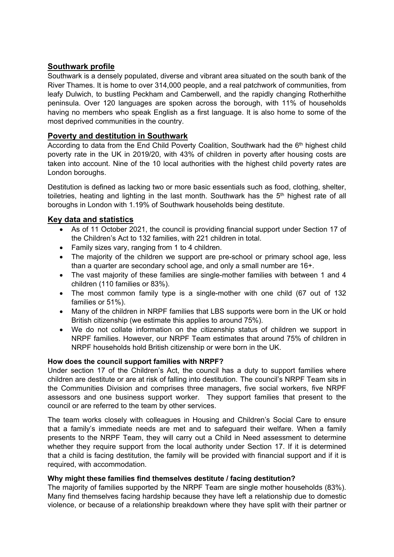# **Southwark profile**

Southwark is a densely populated, diverse and vibrant area situated on the south bank of the River Thames. It is home to over 314,000 people, and a real patchwork of communities, from leafy Dulwich, to bustling Peckham and Camberwell, and the rapidly changing Rotherhithe peninsula. Over 120 languages are spoken across the borough, with 11% of households having no members who speak English as a first language. It is also home to some of the most deprived communities in the country.

## **Poverty and destitution in Southwark**

According to data from the End Child Poverty Coalition, Southwark had the 6<sup>th</sup> highest child poverty rate in the UK in 2019/20, with 43% of children in poverty after housing costs are taken into account. Nine of the 10 local authorities with the highest child poverty rates are London boroughs.

Destitution is defined as lacking two or more basic essentials such as food, clothing, shelter, toiletries, heating and lighting in the last month. Southwark has the 5<sup>th</sup> highest rate of all boroughs in London with 1.19% of Southwark households being destitute.

## **Key data and statistics**

- As of 11 October 2021, the council is providing financial support under Section 17 of the Children's Act to 132 families, with 221 children in total.
- Family sizes vary, ranging from 1 to 4 children.
- The majority of the children we support are pre-school or primary school age, less than a quarter are secondary school age, and only a small number are 16+.
- The vast majority of these families are single-mother families with between 1 and 4 children (110 families or 83%).
- The most common family type is a single-mother with one child (67 out of 132 families or 51%).
- Many of the children in NRPF families that LBS supports were born in the UK or hold British citizenship (we estimate this applies to around 75%).
- We do not collate information on the citizenship status of children we support in NRPF families. However, our NRPF Team estimates that around 75% of children in NRPF households hold British citizenship or were born in the UK.

## **How does the council support families with NRPF?**

Under section 17 of the Children's Act, the council has a duty to support families where children are destitute or are at risk of falling into destitution. The council's NRPF Team sits in the Communities Division and comprises three managers, five social workers, five NRPF assessors and one business support worker. They support families that present to the council or are referred to the team by other services.

The team works closely with colleagues in Housing and Children's Social Care to ensure that a family's immediate needs are met and to safeguard their welfare. When a family presents to the NRPF Team, they will carry out a Child in Need assessment to determine whether they require support from the local authority under Section 17. If it is determined that a child is facing destitution, the family will be provided with financial support and if it is required, with accommodation.

## **Why might these families find themselves destitute / facing destitution?**

The majority of families supported by the NRPF Team are single mother households (83%). Many find themselves facing hardship because they have left a relationship due to domestic violence, or because of a relationship breakdown where they have split with their partner or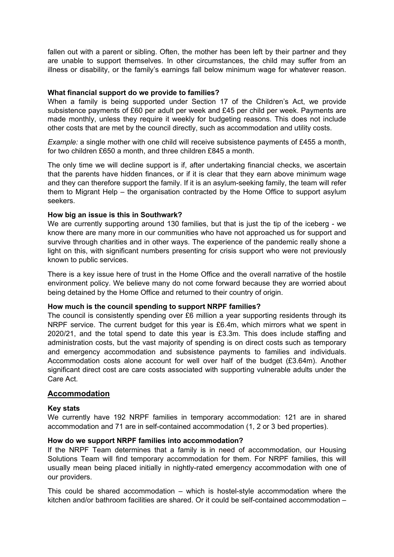fallen out with a parent or sibling. Often, the mother has been left by their partner and they are unable to support themselves. In other circumstances, the child may suffer from an illness or disability, or the family's earnings fall below minimum wage for whatever reason.

### **What financial support do we provide to families?**

When a family is being supported under Section 17 of the Children's Act, we provide subsistence payments of £60 per adult per week and £45 per child per week. Payments are made monthly, unless they require it weekly for budgeting reasons. This does not include other costs that are met by the council directly, such as accommodation and utility costs.

*Example:* a single mother with one child will receive subsistence payments of £455 a month, for two children £650 a month, and three children £845 a month.

The only time we will decline support is if, after undertaking financial checks, we ascertain that the parents have hidden finances, or if it is clear that they earn above minimum wage and they can therefore support the family. If it is an asylum-seeking family, the team will refer them to Migrant Help – the organisation contracted by the Home Office to support asylum seekers.

#### **How big an issue is this in Southwark?**

We are currently supporting around 130 families, but that is just the tip of the iceberg - we know there are many more in our communities who have not approached us for support and survive through charities and in other ways. The experience of the pandemic really shone a light on this, with significant numbers presenting for crisis support who were not previously known to public services.

There is a key issue here of trust in the Home Office and the overall narrative of the hostile environment policy. We believe many do not come forward because they are worried about being detained by the Home Office and returned to their country of origin.

#### **How much is the council spending to support NRPF families?**

The council is consistently spending over £6 million a year supporting residents through its NRPF service. The current budget for this year is £6.4m, which mirrors what we spent in 2020/21, and the total spend to date this year is £3.3m. This does include staffing and administration costs, but the vast majority of spending is on direct costs such as temporary and emergency accommodation and subsistence payments to families and individuals. Accommodation costs alone account for well over half of the budget (£3.64m). Another significant direct cost are care costs associated with supporting vulnerable adults under the Care Act.

## **Accommodation**

#### **Key stats**

We currently have 192 NRPF families in temporary accommodation: 121 are in shared accommodation and 71 are in self-contained accommodation (1, 2 or 3 bed properties).

#### **How do we support NRPF families into accommodation?**

If the NRPF Team determines that a family is in need of accommodation, our Housing Solutions Team will find temporary accommodation for them. For NRPF families, this will usually mean being placed initially in nightly-rated emergency accommodation with one of our providers.

This could be shared accommodation – which is hostel-style accommodation where the kitchen and/or bathroom facilities are shared. Or it could be self-contained accommodation –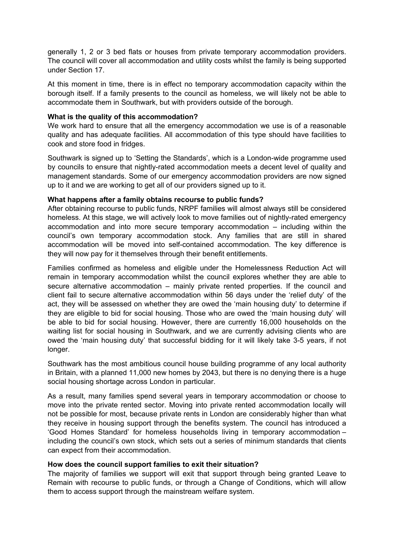generally 1, 2 or 3 bed flats or houses from private temporary accommodation providers. The council will cover all accommodation and utility costs whilst the family is being supported under Section 17.

At this moment in time, there is in effect no temporary accommodation capacity within the borough itself. If a family presents to the council as homeless, we will likely not be able to accommodate them in Southwark, but with providers outside of the borough.

### **What is the quality of this accommodation?**

We work hard to ensure that all the emergency accommodation we use is of a reasonable quality and has adequate facilities. All accommodation of this type should have facilities to cook and store food in fridges.

Southwark is signed up to 'Setting the Standards', which is a London-wide programme used by councils to ensure that nightly-rated accommodation meets a decent level of quality and management standards. Some of our emergency accommodation providers are now signed up to it and we are working to get all of our providers signed up to it.

#### **What happens after a family obtains recourse to public funds?**

After obtaining recourse to public funds, NRPF families will almost always still be considered homeless. At this stage, we will actively look to move families out of nightly-rated emergency accommodation and into more secure temporary accommodation – including within the council's own temporary accommodation stock. Any families that are still in shared accommodation will be moved into self-contained accommodation. The key difference is they will now pay for it themselves through their benefit entitlements.

Families confirmed as homeless and eligible under the Homelessness Reduction Act will remain in temporary accommodation whilst the council explores whether they are able to secure alternative accommodation – mainly private rented properties. If the council and client fail to secure alternative accommodation within 56 days under the 'relief duty' of the act, they will be assessed on whether they are owed the 'main housing duty' to determine if they are eligible to bid for social housing. Those who are owed the 'main housing duty' will be able to bid for social housing. However, there are currently 16,000 households on the waiting list for social housing in Southwark, and we are currently advising clients who are owed the 'main housing duty' that successful bidding for it will likely take 3-5 years, if not longer.

Southwark has the most ambitious council house building programme of any local authority in Britain, with a planned 11,000 new homes by 2043, but there is no denying there is a huge social housing shortage across London in particular.

As a result, many families spend several years in temporary accommodation or choose to move into the private rented sector. Moving into private rented accommodation locally will not be possible for most, because private rents in London are considerably higher than what they receive in housing support through the benefits system. The council has introduced a 'Good Homes Standard' for homeless households living in temporary accommodation – including the council's own stock, which sets out a series of minimum standards that clients can expect from their accommodation.

#### **How does the council support families to exit their situation?**

The majority of families we support will exit that support through being granted Leave to Remain with recourse to public funds, or through a Change of Conditions, which will allow them to access support through the mainstream welfare system.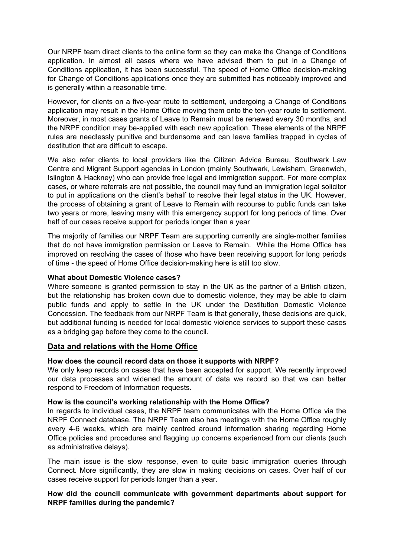Our NRPF team direct clients to the online form so they can make the Change of Conditions application. In almost all cases where we have advised them to put in a Change of Conditions application, it has been successful. The speed of Home Office decision-making for Change of Conditions applications once they are submitted has noticeably improved and is generally within a reasonable time.

However, for clients on a five-year route to settlement, undergoing a Change of Conditions application may result in the Home Office moving them onto the ten-year route to settlement. Moreover, in most cases grants of Leave to Remain must be renewed every 30 months, and the NRPF condition may be-applied with each new application. These elements of the NRPF rules are needlessly punitive and burdensome and can leave families trapped in cycles of destitution that are difficult to escape.

We also refer clients to local providers like the Citizen Advice Bureau, Southwark Law Centre and Migrant Support agencies in London (mainly Southwark, Lewisham, Greenwich, Islington & Hackney) who can provide free legal and immigration support. For more complex cases, or where referrals are not possible, the council may fund an immigration legal solicitor to put in applications on the client's behalf to resolve their legal status in the UK. However, the process of obtaining a grant of Leave to Remain with recourse to public funds can take two years or more, leaving many with this emergency support for long periods of time. Over half of our cases receive support for periods longer than a year

The majority of families our NRPF Team are supporting currently are single-mother families that do not have immigration permission or Leave to Remain. While the Home Office has improved on resolving the cases of those who have been receiving support for long periods of time - the speed of Home Office decision-making here is still too slow.

### **What about Domestic Violence cases?**

Where someone is granted permission to stay in the UK as the partner of a British citizen, but the relationship has broken down due to domestic violence, they may be able to claim public funds and apply to settle in the UK under the Destitution Domestic Violence Concession. The feedback from our NRPF Team is that generally, these decisions are quick, but additional funding is needed for local domestic violence services to support these cases as a bridging gap before they come to the council.

## **Data and relations with the Home Office**

## **How does the council record data on those it supports with NRPF?**

We only keep records on cases that have been accepted for support. We recently improved our data processes and widened the amount of data we record so that we can better respond to Freedom of Information requests.

## **How is the council's working relationship with the Home Office?**

In regards to individual cases, the NRPF team communicates with the Home Office via the NRPF Connect database. The NRPF Team also has meetings with the Home Office roughly every 4-6 weeks, which are mainly centred around information sharing regarding Home Office policies and procedures and flagging up concerns experienced from our clients (such as administrative delays).

The main issue is the slow response, even to quite basic immigration queries through Connect. More significantly, they are slow in making decisions on cases. Over half of our cases receive support for periods longer than a year.

## **How did the council communicate with government departments about support for NRPF families during the pandemic?**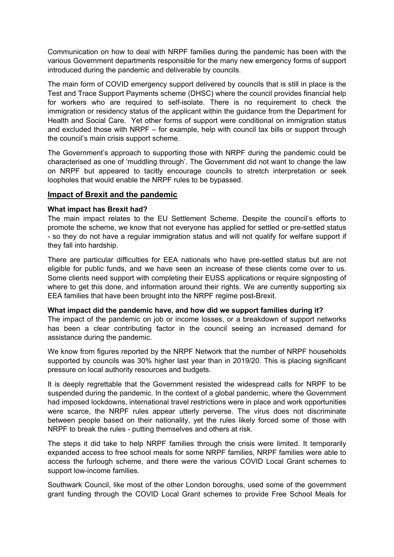Communication on how to deal with NRPF families during the pandemic has been with the various Government departments responsible for the many new emergency forms of support introduced during the pandemic and deliverable by councils.

The main form of COVID emergency support delivered by councils that is still in place is the Test and Trace Support Payments scheme (DHSC) where the council provides financial help for workers who are required to self-isolate. There is no requirement to check the immigration or residency status of the applicant within the guidance from the Department for Health and Social Care. Yet other forms of support were conditional on immigration status and excluded those with NRPF – for example, help with council tax bills or support through the council's main crisis support scheme.

The Government's approach to supporting those with NRPF during the pandemic could be characterised as one of 'muddling through'. The Government did not want to change the law on NRPF but appeared to tacitly encourage councils to stretch interpretation or seek loopholes that would enable the NRPF rules to be bypassed.

## **Impact of Brexit and the pandemic**

## **What impact has Brexit had?**

The main impact relates to the EU Settlement Scheme. Despite the council's efforts to promote the scheme, we know that not everyone has applied for settled or pre-settled status - so they do not have a regular immigration status and will not qualify for welfare support if they fall into hardship.

There are particular difficulties for EEA nationals who have pre-settled status but are not eligible for public funds, and we have seen an increase of these clients come over to us. Some clients need support with completing their EUSS applications or require signposting of where to get this done, and information around their rights. We are currently supporting six EEA families that have been brought into the NRPF regime post-Brexit.

## **What impact did the pandemic have, and how did we support families during it?**

The impact of the pandemic on job or income losses, or a breakdown of support networks has been a clear contributing factor in the council seeing an increased demand for assistance during the pandemic.

We know from figures reported by the NRPF Network that the number of NRPF households supported by councils was 30% higher last year than in 2019/20. This is placing significant pressure on local authority resources and budgets.

It is deeply regrettable that the Government resisted the widespread calls for NRPF to be suspended during the pandemic. In the context of a global pandemic, where the Government had imposed lockdowns, international travel restrictions were in place and work opportunities were scarce, the NRPF rules appear utterly perverse. The virus does not discriminate between people based on their nationality, yet the rules likely forced some of those with NRPF to break the rules - putting themselves and others at risk.

The steps it did take to help NRPF families through the crisis were limited. It temporarily expanded access to free school meals for some NRPF families, NRPF families were able to access the furlough scheme, and there were the various COVID Local Grant schemes to support low-income families.

Southwark Council, like most of the other London boroughs, used some of the government grant funding through the COVID Local Grant schemes to provide Free School Meals for